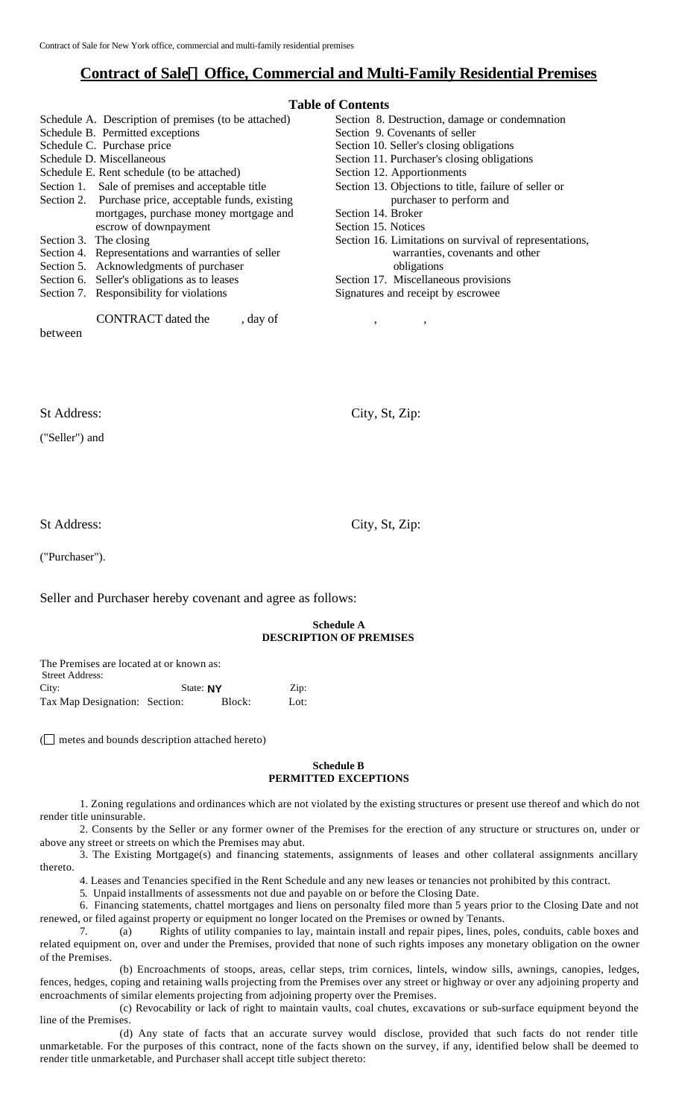# **Contract of Sale¾Office, Commercial and Multi-Family Residential Premises**

# **Table of Contents**

| Tadie of Contents                                       |  |  |  |
|---------------------------------------------------------|--|--|--|
| Section 8. Destruction, damage or condemnation          |  |  |  |
| Section 9. Covenants of seller                          |  |  |  |
| Section 10. Seller's closing obligations                |  |  |  |
| Section 11. Purchaser's closing obligations             |  |  |  |
| Section 12. Apportionments                              |  |  |  |
| Section 13. Objections to title, failure of seller or   |  |  |  |
| purchaser to perform and                                |  |  |  |
| Section 14. Broker                                      |  |  |  |
| Section 15. Notices                                     |  |  |  |
| Section 16. Limitations on survival of representations, |  |  |  |
| warranties, covenants and other                         |  |  |  |
| obligations                                             |  |  |  |
| Section 17. Miscellaneous provisions                    |  |  |  |
| Signatures and receipt by escrowee                      |  |  |  |
|                                                         |  |  |  |
| $^\circ$<br>$\cdot$                                     |  |  |  |
|                                                         |  |  |  |
|                                                         |  |  |  |
|                                                         |  |  |  |
|                                                         |  |  |  |
|                                                         |  |  |  |
|                                                         |  |  |  |
| City, St, Zip:                                          |  |  |  |
|                                                         |  |  |  |
|                                                         |  |  |  |
|                                                         |  |  |  |

St Address: City, St, Zip:

("Purchaser").

Seller and Purchaser hereby covenant and agree as follows:

# **Schedule A DESCRIPTION OF PREMISES**

| The Premises are located at or known as: |           |        |                               |
|------------------------------------------|-----------|--------|-------------------------------|
| <b>Street Address:</b>                   |           |        |                               |
| City:                                    | State: NY |        | $\mathop{\rm Zip}\nolimits$ : |
| Tax Map Designation: Section:            |           | Block: | Lot:                          |

( $\Box$  metes and bounds description attached hereto)

#### **Schedule B PERMITTED EXCEPTIONS**

1. Zoning regulations and ordinances which are not violated by the existing structures or present use thereof and which do not render title uninsurable.

2. Consents by the Seller or any former owner of the Premises for the erection of any structure or structures on, under or above any street or streets on which the Premises may abut.

3. The Existing Mortgage(s) and financing statements, assignments of leases and other collateral assignments ancillary thereto.

4. Leases and Tenancies specified in the Rent Schedule and any new leases or tenancies not prohibited by this contract.

5. Unpaid installments of assessments not due and payable on or before the Closing Date.

6. Financing statements, chattel mortgages and liens on personalty filed more than 5 years prior to the Closing Date and not renewed, or filed against property or equipment no longer located on the Premises or owned by Tenants.

7. (a) Rights of utility companies to lay, maintain install and repair pipes, lines, poles, conduits, cable boxes and related equipment on, over and under the Premises, provided that none of such rights imposes any monetary obligation on the owner of the Premises.

(b) Encroachments of stoops, areas, cellar steps, trim cornices, lintels, window sills, awnings, canopies, ledges, fences, hedges, coping and retaining walls projecting from the Premises over any street or highway or over any adjoining property and encroachments of similar elements projecting from adjoining property over the Premises.

(c) Revocability or lack of right to maintain vaults, coal chutes, excavations or sub-surface equipment beyond the line of the Premises.

(d) Any state of facts that an accurate survey would disclose, provided that such facts do not render title unmarketable. For the purposes of this contract, none of the facts shown on the survey, if any, identified below shall be deemed to render title unmarketable, and Purchaser shall accept title subject thereto: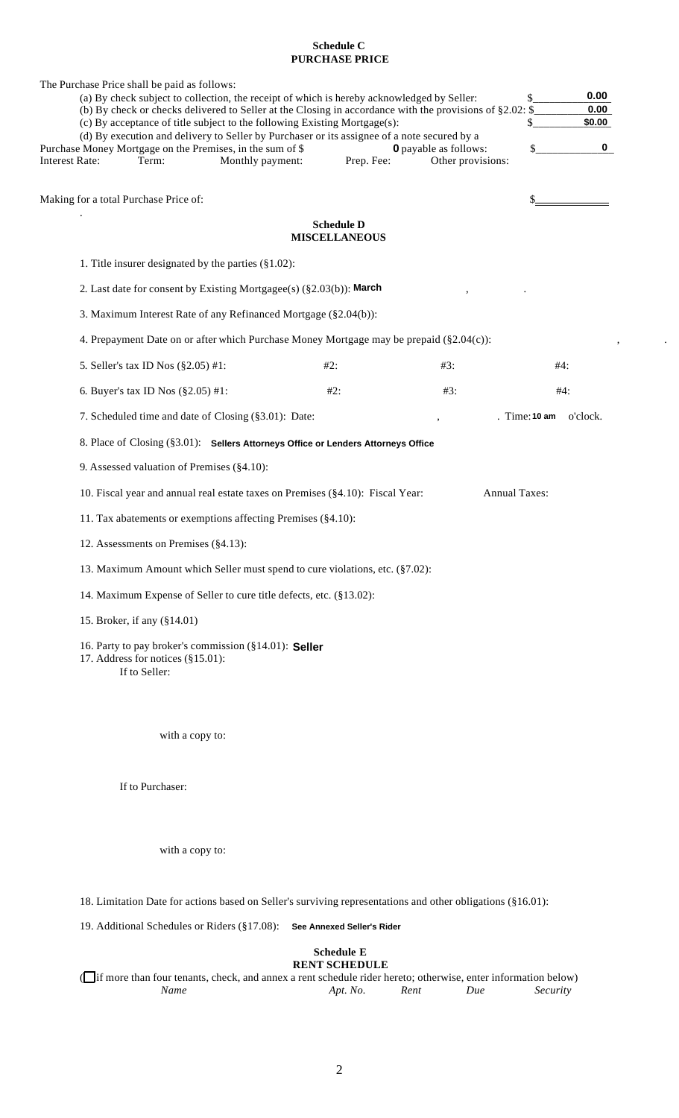# **Schedule C PURCHASE PRICE**

The Purchase Price shall be paid as follows:

| (a) By check subject to collection, the receipt of which is hereby acknowledged by Seller:<br>(b) By check or checks delivered to Seller at the Closing in accordance with the provisions of $\S2.02$ : $\S$ |                                                                                                                                                                          |                      |                              |                        |
|--------------------------------------------------------------------------------------------------------------------------------------------------------------------------------------------------------------|--------------------------------------------------------------------------------------------------------------------------------------------------------------------------|----------------------|------------------------------|------------------------|
|                                                                                                                                                                                                              | (c) By acceptance of title subject to the following Existing Mortgage(s):<br>(d) By execution and delivery to Seller by Purchaser or its assignee of a note secured by a |                      |                              | \$0.00<br>\$           |
|                                                                                                                                                                                                              | Purchase Money Mortgage on the Premises, in the sum of \$                                                                                                                |                      | <b>0</b> payable as follows: | 0                      |
| <b>Interest Rate:</b><br>Term:                                                                                                                                                                               | Monthly payment:                                                                                                                                                         | Prep. Fee:           | Other provisions:            |                        |
|                                                                                                                                                                                                              |                                                                                                                                                                          |                      |                              |                        |
| Making for a total Purchase Price of:                                                                                                                                                                        |                                                                                                                                                                          |                      |                              |                        |
|                                                                                                                                                                                                              |                                                                                                                                                                          | <b>Schedule D</b>    |                              |                        |
|                                                                                                                                                                                                              |                                                                                                                                                                          | <b>MISCELLANEOUS</b> |                              |                        |
| 1. Title insurer designated by the parties $(\S1.02)$ :                                                                                                                                                      |                                                                                                                                                                          |                      |                              |                        |
|                                                                                                                                                                                                              | 2. Last date for consent by Existing Mortgagee(s) $(\S2.03(b))$ : March                                                                                                  |                      |                              |                        |
|                                                                                                                                                                                                              | 3. Maximum Interest Rate of any Refinanced Mortgage (§2.04(b)):                                                                                                          |                      |                              |                        |
|                                                                                                                                                                                                              | 4. Prepayment Date on or after which Purchase Money Mortgage may be prepaid $(\$2.04(c))$ :                                                                              |                      |                              |                        |
| 5. Seller's tax ID Nos (§2.05) #1:                                                                                                                                                                           |                                                                                                                                                                          | #2:                  | #3:                          | #4:                    |
| 6. Buyer's tax ID Nos $(\$2.05)$ #1:                                                                                                                                                                         |                                                                                                                                                                          | #2:                  | #3:                          | #4:                    |
|                                                                                                                                                                                                              | 7. Scheduled time and date of Closing (§3.01): Date:                                                                                                                     |                      |                              | . Time: 10 am o'clock. |
|                                                                                                                                                                                                              | 8. Place of Closing (§3.01): Sellers Attorneys Office or Lenders Attorneys Office                                                                                        |                      |                              |                        |
| 9. Assessed valuation of Premises (§4.10):                                                                                                                                                                   |                                                                                                                                                                          |                      |                              |                        |
|                                                                                                                                                                                                              | 10. Fiscal year and annual real estate taxes on Premises (§4.10): Fiscal Year:                                                                                           |                      |                              | <b>Annual Taxes:</b>   |
|                                                                                                                                                                                                              | 11. Tax abatements or exemptions affecting Premises (§4.10):                                                                                                             |                      |                              |                        |
| 12. Assessments on Premises (§4.13):                                                                                                                                                                         |                                                                                                                                                                          |                      |                              |                        |
|                                                                                                                                                                                                              | 13. Maximum Amount which Seller must spend to cure violations, etc. (§7.02):                                                                                             |                      |                              |                        |
|                                                                                                                                                                                                              | 14. Maximum Expense of Seller to cure title defects, etc. (§13.02):                                                                                                      |                      |                              |                        |
| 15. Broker, if any (§14.01)                                                                                                                                                                                  |                                                                                                                                                                          |                      |                              |                        |
| 17. Address for notices (§15.01):<br>If to Seller:                                                                                                                                                           | 16. Party to pay broker's commission (§14.01): Seller                                                                                                                    |                      |                              |                        |

with a copy to:

If to Purchaser:

with a copy to:

18. Limitation Date for actions based on Seller's surviving representations and other obligations (§16.01):

19. Additional Schedules or Riders (§17.08): **See Annexed Seller's Rider**

#### **Schedule E RENT SCHEDULE**

( $\Box$ if more than four tenants, check, and annex a rent schedule rider hereto; otherwise, enter information below)<br>  $Apt. No.$  Rent Due Security Apt. No.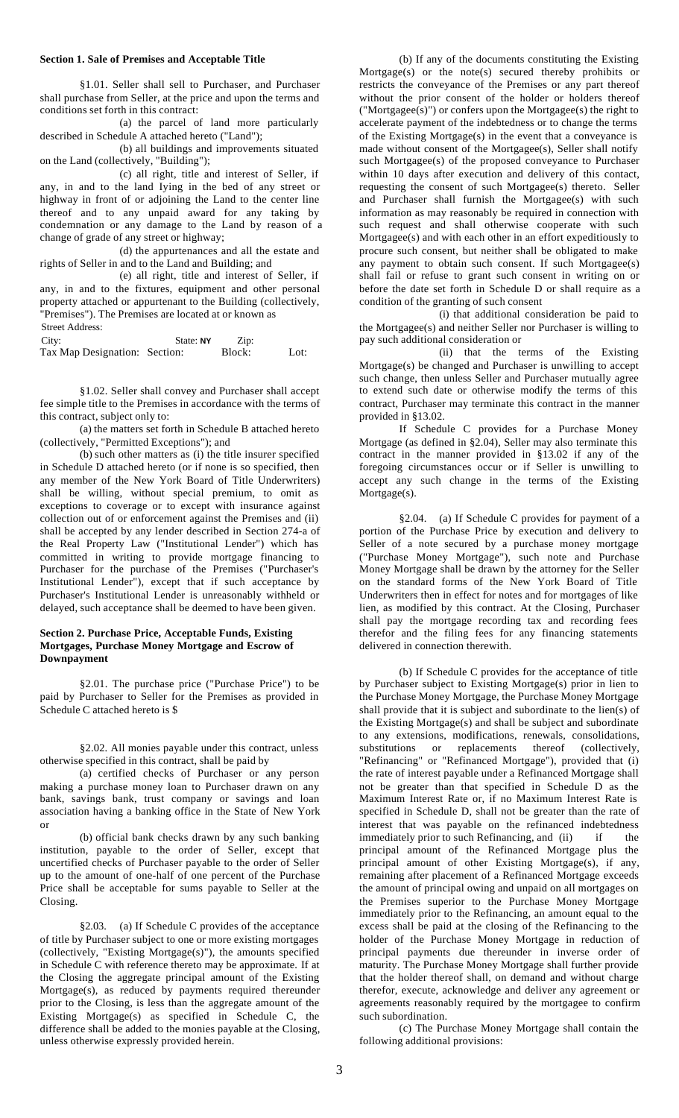# **Section 1. Sale of Premises and Acceptable Title**

§1.01. Seller shall sell to Purchaser, and Purchaser shall purchase from Seller, at the price and upon the terms and conditions set forth in this contract:

(a) the parcel of land more particularly described in Schedule A attached hereto ("Land");

(b) all buildings and improvements situated on the Land (collectively, "Building");

(c) all right, title and interest of Seller, if any, in and to the land Iying in the bed of any street or highway in front of or adjoining the Land to the center line thereof and to any unpaid award for any taking by condemnation or any damage to the Land by reason of a change of grade of any street or highway;

(d) the appurtenances and all the estate and rights of Seller in and to the Land and Building; and

(e) all right, title and interest of Seller, if any, in and to the fixtures, equipment and other personal property attached or appurtenant to the Building (collectively, "Premises"). The Premises are located at or known as Street Address:

| City:                         | State: NY | Zip:   |      |
|-------------------------------|-----------|--------|------|
| Tax Map Designation: Section: |           | Block: | Lot: |

§1.02. Seller shall convey and Purchaser shall accept fee simple title to the Premises in accordance with the terms of this contract, subject only to:

(a) the matters set forth in Schedule B attached hereto (collectively, "Permitted Exceptions"); and

(b) such other matters as (i) the title insurer specified in Schedule D attached hereto (or if none is so specified, then any member of the New York Board of Title Underwriters) shall be willing, without special premium, to omit as exceptions to coverage or to except with insurance against collection out of or enforcement against the Premises and (ii) shall be accepted by any lender described in Section 274-a of the Real Property Law ("Institutional Lender") which has committed in writing to provide mortgage financing to Purchaser for the purchase of the Premises ("Purchaser's Institutional Lender"), except that if such acceptance by Purchaser's Institutional Lender is unreasonably withheld or delayed, such acceptance shall be deemed to have been given.

## **Section 2. Purchase Price, Acceptable Funds, Existing Mortgages, Purchase Money Mortgage and Escrow of Downpayment**

§2.01. The purchase price ("Purchase Price") to be paid by Purchaser to Seller for the Premises as provided in Schedule C attached hereto is \$

§2.02. All monies payable under this contract, unless otherwise specified in this contract, shall be paid by

(a) certified checks of Purchaser or any person making a purchase money loan to Purchaser drawn on any bank, savings bank, trust company or savings and loan association having a banking office in the State of New York or

(b) official bank checks drawn by any such banking institution, payable to the order of Seller, except that uncertified checks of Purchaser payable to the order of Seller up to the amount of one-half of one percent of the Purchase Price shall be acceptable for sums payable to Seller at the Closing.

§2.03. (a) If Schedule C provides of the acceptance of title by Purchaser subject to one or more existing mortgages (collectively, "Existing Mortgage(s)"), the amounts specified in Schedule C with reference thereto may be approximate. If at the Closing the aggregate principal amount of the Existing Mortgage(s), as reduced by payments required thereunder prior to the Closing, is less than the aggregate amount of the Existing Mortgage(s) as specified in Schedule C, the difference shall be added to the monies payable at the Closing, unless otherwise expressly provided herein.

(b) If any of the documents constituting the Existing Mortgage(s) or the note(s) secured thereby prohibits or restricts the conveyance of the Premises or any part thereof without the prior consent of the holder or holders thereof ("Mortgagee(s)") or confers upon the Mortgagee(s) the right to accelerate payment of the indebtedness or to change the terms of the Existing Mortgage(s) in the event that a conveyance is made without consent of the Mortgagee(s), Seller shall notify such Mortgagee(s) of the proposed conveyance to Purchaser within 10 days after execution and delivery of this contact, requesting the consent of such Mortgagee(s) thereto. Seller and Purchaser shall furnish the Mortgagee(s) with such information as may reasonably be required in connection with such request and shall otherwise cooperate with such Mortgagee(s) and with each other in an effort expeditiously to procure such consent, but neither shall be obligated to make any payment to obtain such consent. If such Mortgagee(s) shall fail or refuse to grant such consent in writing on or before the date set forth in Schedule D or shall require as a condition of the granting of such consent

(i) that additional consideration be paid to the Mortgagee(s) and neither Seller nor Purchaser is willing to pay such additional consideration or

(ii) that the terms of the Existing Mortgage(s) be changed and Purchaser is unwilling to accept such change, then unless Seller and Purchaser mutually agree to extend such date or otherwise modify the terms of this contract, Purchaser may terminate this contract in the manner provided in §13.02.

If Schedule C provides for a Purchase Money Mortgage (as defined in §2.04), Seller may also terminate this contract in the manner provided in §13.02 if any of the foregoing circumstances occur or if Seller is unwilling to accept any such change in the terms of the Existing  $Mortgage(s)$ .

§2.04. (a) If Schedule C provides for payment of a portion of the Purchase Price by execution and delivery to Seller of a note secured by a purchase money mortgage ("Purchase Money Mortgage"), such note and Purchase Money Mortgage shall be drawn by the attorney for the Seller on the standard forms of the New York Board of Title Underwriters then in effect for notes and for mortgages of like lien, as modified by this contract. At the Closing, Purchaser shall pay the mortgage recording tax and recording fees therefor and the filing fees for any financing statements delivered in connection therewith.

(b) If Schedule C provides for the acceptance of title by Purchaser subject to Existing Mortgage(s) prior in lien to the Purchase Money Mortgage, the Purchase Money Mortgage shall provide that it is subject and subordinate to the lien(s) of the Existing Mortgage(s) and shall be subject and subordinate to any extensions, modifications, renewals, consolidations, substitutions or replacements thereof (collectively, "Refinancing" or "Refinanced Mortgage"), provided that (i) the rate of interest payable under a Refinanced Mortgage shall not be greater than that specified in Schedule D as the Maximum Interest Rate or, if no Maximum Interest Rate is specified in Schedule D, shall not be greater than the rate of interest that was payable on the refinanced indebtedness immediately prior to such Refinancing, and (ii) if the principal amount of the Refinanced Mortgage plus the principal amount of other Existing Mortgage(s), if any, remaining after placement of a Refinanced Mortgage exceeds the amount of principal owing and unpaid on all mortgages on the Premises superior to the Purchase Money Mortgage immediately prior to the Refinancing, an amount equal to the excess shall be paid at the closing of the Refinancing to the holder of the Purchase Money Mortgage in reduction of principal payments due thereunder in inverse order of maturity. The Purchase Money Mortgage shall further provide that the holder thereof shall, on demand and without charge therefor, execute, acknowledge and deliver any agreement or agreements reasonably required by the mortgagee to confirm such subordination.

(c) The Purchase Money Mortgage shall contain the following additional provisions: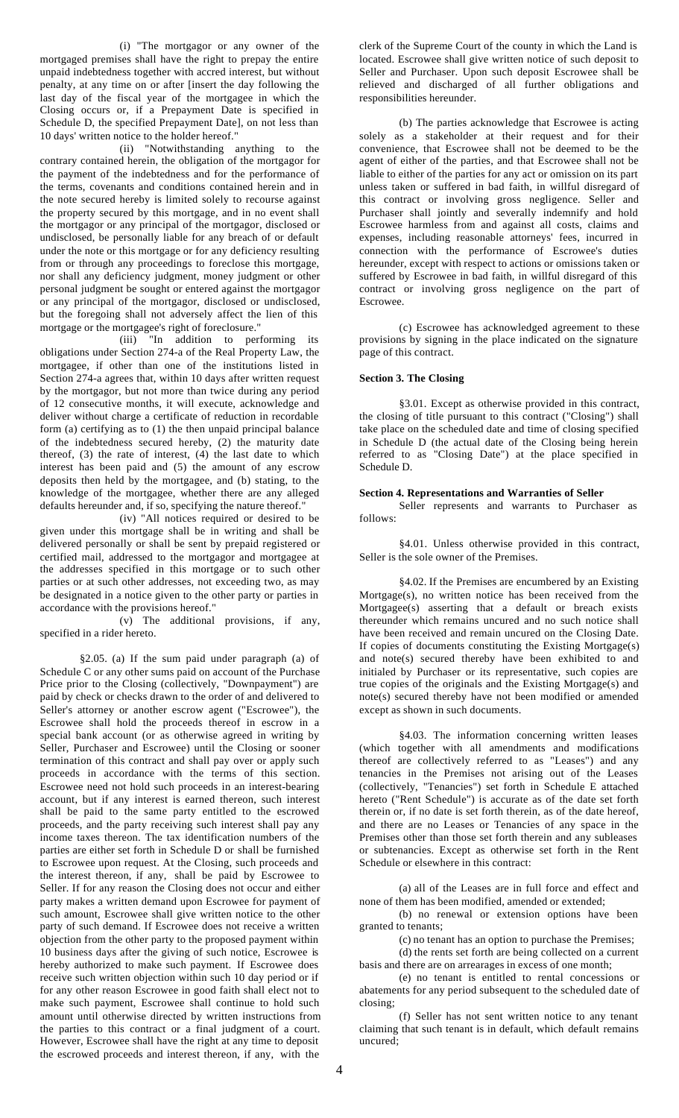(i) "The mortgagor or any owner of the mortgaged premises shall have the right to prepay the entire unpaid indebtedness together with accred interest, but without penalty, at any time on or after [insert the day following the last day of the fiscal year of the mortgagee in which the Closing occurs or, if a Prepayment Date is specified in Schedule D, the specified Prepayment Date], on not less than 10 days' written notice to the holder hereof."

(ii) "Notwithstanding anything to the contrary contained herein, the obligation of the mortgagor for the payment of the indebtedness and for the performance of the terms, covenants and conditions contained herein and in the note secured hereby is limited solely to recourse against the property secured by this mortgage, and in no event shall the mortgagor or any principal of the mortgagor, disclosed or undisclosed, be personally liable for any breach of or default under the note or this mortgage or for any deficiency resulting from or through any proceedings to foreclose this mortgage, nor shall any deficiency judgment, money judgment or other personal judgment be sought or entered against the mortgagor or any principal of the mortgagor, disclosed or undisclosed, but the foregoing shall not adversely affect the lien of this mortgage or the mortgagee's right of foreclosure."

(iii) "In addition to performing its obligations under Section 274-a of the Real Property Law, the mortgagee, if other than one of the institutions listed in Section 274-a agrees that, within 10 days after written request by the mortgagor, but not more than twice during any period of 12 consecutive months, it will execute, acknowledge and deliver without charge a certificate of reduction in recordable form (a) certifying as to (1) the then unpaid principal balance of the indebtedness secured hereby, (2) the maturity date thereof, (3) the rate of interest, (4) the last date to which interest has been paid and (5) the amount of any escrow deposits then held by the mortgagee, and (b) stating, to the knowledge of the mortgagee, whether there are any alleged defaults hereunder and, if so, specifying the nature thereof.'

(iv) "All notices required or desired to be given under this mortgage shall be in writing and shall be delivered personally or shall be sent by prepaid registered or certified mail, addressed to the mortgagor and mortgagee at the addresses specified in this mortgage or to such other parties or at such other addresses, not exceeding two, as may be designated in a notice given to the other party or parties in accordance with the provisions hereof."

(v) The additional provisions, if any, specified in a rider hereto.

§2.05. (a) If the sum paid under paragraph (a) of Schedule C or any other sums paid on account of the Purchase Price prior to the Closing (collectively, "Downpayment") are paid by check or checks drawn to the order of and delivered to Seller's attorney or another escrow agent ("Escrowee"), the Escrowee shall hold the proceeds thereof in escrow in a special bank account (or as otherwise agreed in writing by Seller, Purchaser and Escrowee) until the Closing or sooner termination of this contract and shall pay over or apply such proceeds in accordance with the terms of this section. Escrowee need not hold such proceeds in an interest-bearing account, but if any interest is earned thereon, such interest shall be paid to the same party entitled to the escrowed proceeds, and the party receiving such interest shall pay any income taxes thereon. The tax identification numbers of the parties are either set forth in Schedule D or shall be furnished to Escrowee upon request. At the Closing, such proceeds and the interest thereon, if any, shall be paid by Escrowee to Seller. If for any reason the Closing does not occur and either party makes a written demand upon Escrowee for payment of such amount, Escrowee shall give written notice to the other party of such demand. If Escrowee does not receive a written objection from the other party to the proposed payment within 10 business days after the giving of such notice, Escrowee is hereby authorized to make such payment. If Escrowee does receive such written objection within such 10 day period or if for any other reason Escrowee in good faith shall elect not to make such payment, Escrowee shall continue to hold such amount until otherwise directed by written instructions from the parties to this contract or a final judgment of a court. However, Escrowee shall have the right at any time to deposit the escrowed proceeds and interest thereon, if any, with the

clerk of the Supreme Court of the county in which the Land is located. Escrowee shall give written notice of such deposit to Seller and Purchaser. Upon such deposit Escrowee shall be relieved and discharged of all further obligations and responsibilities hereunder.

(b) The parties acknowledge that Escrowee is acting solely as a stakeholder at their request and for their convenience, that Escrowee shall not be deemed to be the agent of either of the parties, and that Escrowee shall not be liable to either of the parties for any act or omission on its part unless taken or suffered in bad faith, in willful disregard of this contract or involving gross negligence. Seller and Purchaser shall jointly and severally indemnify and hold Escrowee harmless from and against all costs, claims and expenses, including reasonable attorneys' fees, incurred in connection with the performance of Escrowee's duties hereunder, except with respect to actions or omissions taken or suffered by Escrowee in bad faith, in willful disregard of this contract or involving gross negligence on the part of Escrowee.

(c) Escrowee has acknowledged agreement to these provisions by signing in the place indicated on the signature page of this contract.

# **Section 3. The Closing**

§3.01. Except as otherwise provided in this contract, the closing of title pursuant to this contract ("Closing") shall take place on the scheduled date and time of closing specified in Schedule D (the actual date of the Closing being herein referred to as "Closing Date") at the place specified in Schedule D.

#### **Section 4. Representations and Warranties of Seller**

Seller represents and warrants to Purchaser as follows:

§4.01. Unless otherwise provided in this contract, Seller is the sole owner of the Premises.

§4.02. If the Premises are encumbered by an Existing Mortgage(s), no written notice has been received from the Mortgagee(s) asserting that a default or breach exists thereunder which remains uncured and no such notice shall have been received and remain uncured on the Closing Date. If copies of documents constituting the Existing Mortgage(s) and note(s) secured thereby have been exhibited to and initialed by Purchaser or its representative, such copies are true copies of the originals and the Existing Mortgage(s) and note(s) secured thereby have not been modified or amended except as shown in such documents.

§4.03. The information concerning written leases (which together with all amendments and modifications thereof are collectively referred to as "Leases") and any tenancies in the Premises not arising out of the Leases (collectively, "Tenancies") set forth in Schedule E attached hereto ("Rent Schedule") is accurate as of the date set forth therein or, if no date is set forth therein, as of the date hereof, and there are no Leases or Tenancies of any space in the Premises other than those set forth therein and any subleases or subtenancies. Except as otherwise set forth in the Rent Schedule or elsewhere in this contract:

(a) all of the Leases are in full force and effect and none of them has been modified, amended or extended;

(b) no renewal or extension options have been granted to tenants;

(c) no tenant has an option to purchase the Premises; (d) the rents set forth are being collected on a current basis and there are on arrearages in excess of one month;

(e) no tenant is entitled to rental concessions or abatements for any period subsequent to the scheduled date of closing;

(f) Seller has not sent written notice to any tenant claiming that such tenant is in default, which default remains uncured;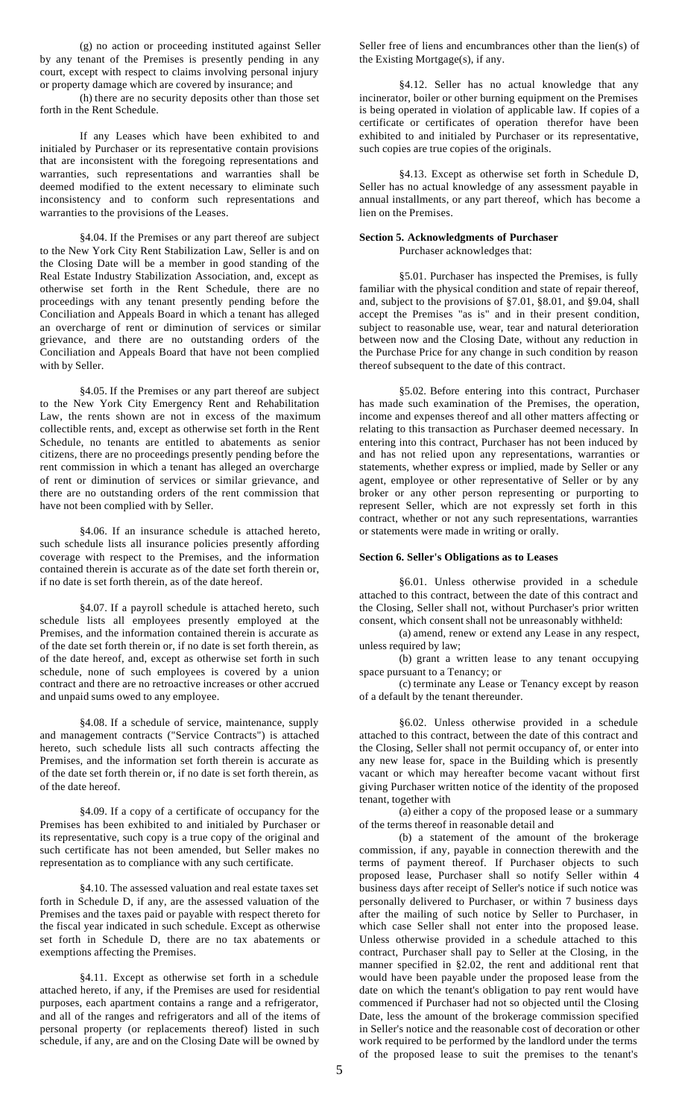(g) no action or proceeding instituted against Seller by any tenant of the Premises is presently pending in any court, except with respect to claims involving personal injury or property damage which are covered by insurance; and

(h) there are no security deposits other than those set forth in the Rent Schedule.

If any Leases which have been exhibited to and initialed by Purchaser or its representative contain provisions that are inconsistent with the foregoing representations and warranties, such representations and warranties shall be deemed modified to the extent necessary to eliminate such inconsistency and to conform such representations and warranties to the provisions of the Leases.

§4.04. If the Premises or any part thereof are subject to the New York City Rent Stabilization Law, Seller is and on the Closing Date will be a member in good standing of the Real Estate Industry Stabilization Association, and, except as otherwise set forth in the Rent Schedule, there are no proceedings with any tenant presently pending before the Conciliation and Appeals Board in which a tenant has alleged an overcharge of rent or diminution of services or similar grievance, and there are no outstanding orders of the Conciliation and Appeals Board that have not been complied with by Seller.

§4.05. If the Premises or any part thereof are subject to the New York City Emergency Rent and Rehabilitation Law, the rents shown are not in excess of the maximum collectible rents, and, except as otherwise set forth in the Rent Schedule, no tenants are entitled to abatements as senior citizens, there are no proceedings presently pending before the rent commission in which a tenant has alleged an overcharge of rent or diminution of services or similar grievance, and there are no outstanding orders of the rent commission that have not been complied with by Seller.

§4.06. If an insurance schedule is attached hereto, such schedule lists all insurance policies presently affording coverage with respect to the Premises, and the information contained therein is accurate as of the date set forth therein or, if no date is set forth therein, as of the date hereof.

§4.07. If a payroll schedule is attached hereto, such schedule lists all employees presently employed at the Premises, and the information contained therein is accurate as of the date set forth therein or, if no date is set forth therein, as of the date hereof, and, except as otherwise set forth in such schedule, none of such employees is covered by a union contract and there are no retroactive increases or other accrued and unpaid sums owed to any employee.

§4.08. If a schedule of service, maintenance, supply and management contracts ("Service Contracts") is attached hereto, such schedule lists all such contracts affecting the Premises, and the information set forth therein is accurate as of the date set forth therein or, if no date is set forth therein, as of the date hereof.

§4.09. If a copy of a certificate of occupancy for the Premises has been exhibited to and initialed by Purchaser or its representative, such copy is a true copy of the original and such certificate has not been amended, but Seller makes no representation as to compliance with any such certificate.

§4.10. The assessed valuation and real estate taxes set forth in Schedule D, if any, are the assessed valuation of the Premises and the taxes paid or payable with respect thereto for the fiscal year indicated in such schedule. Except as otherwise set forth in Schedule D, there are no tax abatements or exemptions affecting the Premises.

§4.11. Except as otherwise set forth in a schedule attached hereto, if any, if the Premises are used for residential purposes, each apartment contains a range and a refrigerator, and all of the ranges and refrigerators and all of the items of personal property (or replacements thereof) listed in such schedule, if any, are and on the Closing Date will be owned by

Seller free of liens and encumbrances other than the lien(s) of the Existing Mortgage(s), if any.

§4.12. Seller has no actual knowledge that any incinerator, boiler or other burning equipment on the Premises is being operated in violation of applicable law. If copies of a certificate or certificates of operation therefor have been exhibited to and initialed by Purchaser or its representative, such copies are true copies of the originals.

§4.13. Except as otherwise set forth in Schedule D, Seller has no actual knowledge of any assessment payable in annual installments, or any part thereof, which has become a lien on the Premises.

#### **Section 5. Acknowledgments of Purchaser** Purchaser acknowledges that:

§5.01. Purchaser has inspected the Premises, is fully familiar with the physical condition and state of repair thereof, and, subject to the provisions of §7.01, §8.01, and §9.04, shall accept the Premises "as is" and in their present condition, subject to reasonable use, wear, tear and natural deterioration between now and the Closing Date, without any reduction in the Purchase Price for any change in such condition by reason thereof subsequent to the date of this contract.

§5.02. Before entering into this contract, Purchaser has made such examination of the Premises, the operation, income and expenses thereof and all other matters affecting or relating to this transaction as Purchaser deemed necessary. In entering into this contract, Purchaser has not been induced by and has not relied upon any representations, warranties or statements, whether express or implied, made by Seller or any agent, employee or other representative of Seller or by any broker or any other person representing or purporting to represent Seller, which are not expressly set forth in this contract, whether or not any such representations, warranties or statements were made in writing or orally.

## **Section 6. Seller's Obligations as to Leases**

§6.01. Unless otherwise provided in a schedule attached to this contract, between the date of this contract and the Closing, Seller shall not, without Purchaser's prior written consent, which consent shall not be unreasonably withheld:

(a) amend, renew or extend any Lease in any respect, unless required by law;

(b) grant a written lease to any tenant occupying space pursuant to a Tenancy; or

(c) terminate any Lease or Tenancy except by reason of a default by the tenant thereunder.

§6.02. Unless otherwise provided in a schedule attached to this contract, between the date of this contract and the Closing, Seller shall not permit occupancy of, or enter into any new lease for, space in the Building which is presently vacant or which may hereafter become vacant without first giving Purchaser written notice of the identity of the proposed tenant, together with

(a) either a copy of the proposed lease or a summary of the terms thereof in reasonable detail and

(b) a statement of the amount of the brokerage commission, if any, payable in connection therewith and the terms of payment thereof. If Purchaser objects to such proposed lease, Purchaser shall so notify Seller within 4 business days after receipt of Seller's notice if such notice was personally delivered to Purchaser, or within 7 business days after the mailing of such notice by Seller to Purchaser, in which case Seller shall not enter into the proposed lease. Unless otherwise provided in a schedule attached to this contract, Purchaser shall pay to Seller at the Closing, in the manner specified in §2.02, the rent and additional rent that would have been payable under the proposed lease from the date on which the tenant's obligation to pay rent would have commenced if Purchaser had not so objected until the Closing Date, less the amount of the brokerage commission specified in Seller's notice and the reasonable cost of decoration or other work required to be performed by the landlord under the terms of the proposed lease to suit the premises to the tenant's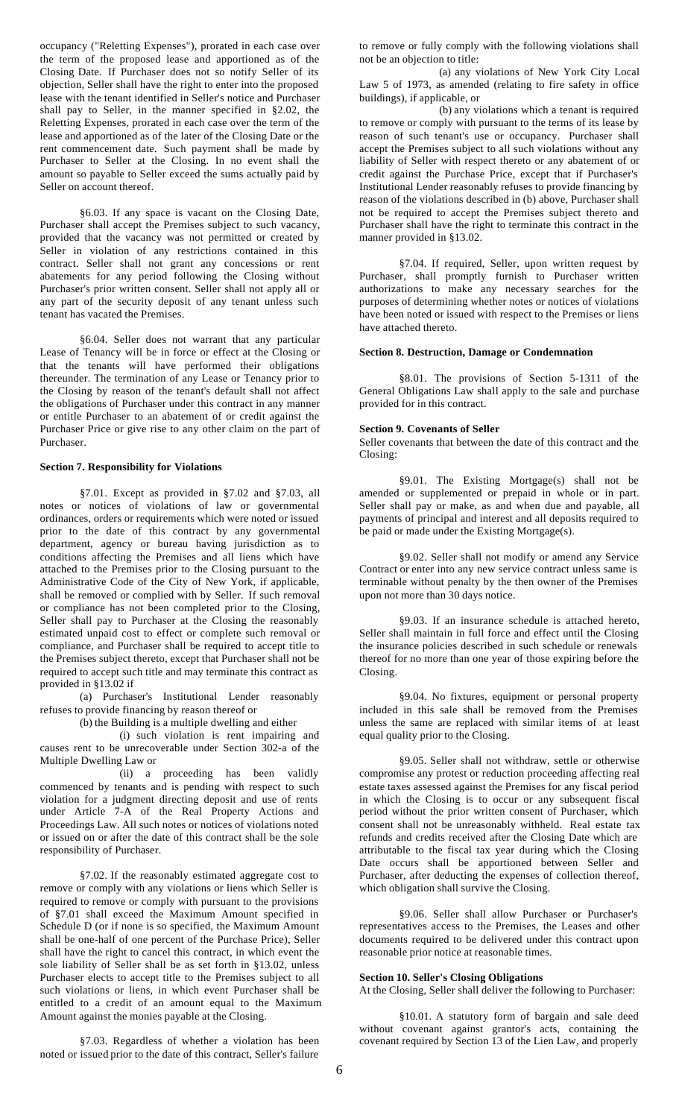occupancy ("Reletting Expenses"), prorated in each case over the term of the proposed lease and apportioned as of the Closing Date. If Purchaser does not so notify Seller of its objection, Seller shall have the right to enter into the proposed lease with the tenant identified in Seller's notice and Purchaser shall pay to Seller, in the manner specified in §2.02, the Reletting Expenses, prorated in each case over the term of the lease and apportioned as of the later of the Closing Date or the rent commencement date. Such payment shall be made by Purchaser to Seller at the Closing. In no event shall the amount so payable to Seller exceed the sums actually paid by Seller on account thereof.

§6.03. If any space is vacant on the Closing Date, Purchaser shall accept the Premises subject to such vacancy, provided that the vacancy was not permitted or created by Seller in violation of any restrictions contained in this contract. Seller shall not grant any concessions or rent abatements for any period following the Closing without Purchaser's prior written consent. Seller shall not apply all or any part of the security deposit of any tenant unless such tenant has vacated the Premises.

§6.04. Seller does not warrant that any particular Lease of Tenancy will be in force or effect at the Closing or that the tenants will have performed their obligations thereunder. The termination of any Lease or Tenancy prior to the Closing by reason of the tenant's default shall not affect the obligations of Purchaser under this contract in any manner or entitle Purchaser to an abatement of or credit against the Purchaser Price or give rise to any other claim on the part of Purchaser.

# **Section 7. Responsibility for Violations**

§7.01. Except as provided in §7.02 and §7.03, all notes or notices of violations of law or governmental ordinances, orders or requirements which were noted or issued prior to the date of this contract by any governmental department, agency or bureau having jurisdiction as to conditions affecting the Premises and all liens which have attached to the Premises prior to the Closing pursuant to the Administrative Code of the City of New York, if applicable, shall be removed or complied with by Seller. If such removal or compliance has not been completed prior to the Closing, Seller shall pay to Purchaser at the Closing the reasonably estimated unpaid cost to effect or complete such removal or compliance, and Purchaser shall be required to accept title to the Premises subject thereto, except that Purchaser shall not be required to accept such title and may terminate this contract as provided in §13.02 if

(a) Purchaser's Institutional Lender reasonably refuses to provide financing by reason thereof or

(b) the Building is a multiple dwelling and either

(i) such violation is rent impairing and causes rent to be unrecoverable under Section 302-a of the Multiple Dwelling Law or

(ii) a proceeding has been validly commenced by tenants and is pending with respect to such violation for a judgment directing deposit and use of rents under Article 7-A of the Real Property Actions and Proceedings Law. All such notes or notices of violations noted or issued on or after the date of this contract shall be the sole responsibility of Purchaser.

§7.02. If the reasonably estimated aggregate cost to remove or comply with any violations or liens which Seller is required to remove or comply with pursuant to the provisions of §7.01 shall exceed the Maximum Amount specified in Schedule D (or if none is so specified, the Maximum Amount shall be one-half of one percent of the Purchase Price), Seller shall have the right to cancel this contract, in which event the sole liability of Seller shall be as set forth in §13.02, unless Purchaser elects to accept title to the Premises subject to all such violations or liens, in which event Purchaser shall be entitled to a credit of an amount equal to the Maximum Amount against the monies payable at the Closing.

§7.03. Regardless of whether a violation has been noted or issued prior to the date of this contract, Seller's failure

to remove or fully comply with the following violations shall not be an objection to title:

(a) any violations of New York City Local Law 5 of 1973, as amended (relating to fire safety in office buildings), if applicable, or

(b) any violations which a tenant is required to remove or comply with pursuant to the terms of its lease by reason of such tenant's use or occupancy. Purchaser shall accept the Premises subject to all such violations without any liability of Seller with respect thereto or any abatement of or credit against the Purchase Price, except that if Purchaser's Institutional Lender reasonably refuses to provide financing by reason of the violations described in (b) above, Purchaser shall not be required to accept the Premises subject thereto and Purchaser shall have the right to terminate this contract in the manner provided in §13.02.

§7.04. If required, Seller, upon written request by Purchaser, shall promptly furnish to Purchaser written authorizations to make any necessary searches for the purposes of determining whether notes or notices of violations have been noted or issued with respect to the Premises or liens have attached thereto.

#### **Section 8. Destruction, Damage or Condemnation**

§8.01. The provisions of Section 5-1311 of the General Obligations Law shall apply to the sale and purchase provided for in this contract.

#### **Section 9. Covenants of Seller**

Seller covenants that between the date of this contract and the Closing:

§9.01. The Existing Mortgage(s) shall not be amended or supplemented or prepaid in whole or in part. Seller shall pay or make, as and when due and payable, all payments of principal and interest and all deposits required to be paid or made under the Existing Mortgage(s).

§9.02. Seller shall not modify or amend any Service Contract or enter into any new service contract unless same is terminable without penalty by the then owner of the Premises upon not more than 30 days notice.

§9.03. If an insurance schedule is attached hereto, Seller shall maintain in full force and effect until the Closing the insurance policies described in such schedule or renewals thereof for no more than one year of those expiring before the Closing.

§9.04. No fixtures, equipment or personal property included in this sale shall be removed from the Premises unless the same are replaced with similar items of at least equal quality prior to the Closing.

§9.05. Seller shall not withdraw, settle or otherwise compromise any protest or reduction proceeding affecting real estate taxes assessed against the Premises for any fiscal period in which the Closing is to occur or any subsequent fiscal period without the prior written consent of Purchaser, which consent shall not be unreasonably withheld. Real estate tax refunds and credits received after the Closing Date which are attributable to the fiscal tax year during which the Closing Date occurs shall be apportioned between Seller and Purchaser, after deducting the expenses of collection thereof, which obligation shall survive the Closing.

§9.06. Seller shall allow Purchaser or Purchaser's representatives access to the Premises, the Leases and other documents required to be delivered under this contract upon reasonable prior notice at reasonable times.

#### **Section 10. Seller's Closing Obligations**

At the Closing, Seller shall deliver the following to Purchaser:

§10.01. A statutory form of bargain and sale deed without covenant against grantor's acts, containing the covenant required by Section 13 of the Lien Law, and properly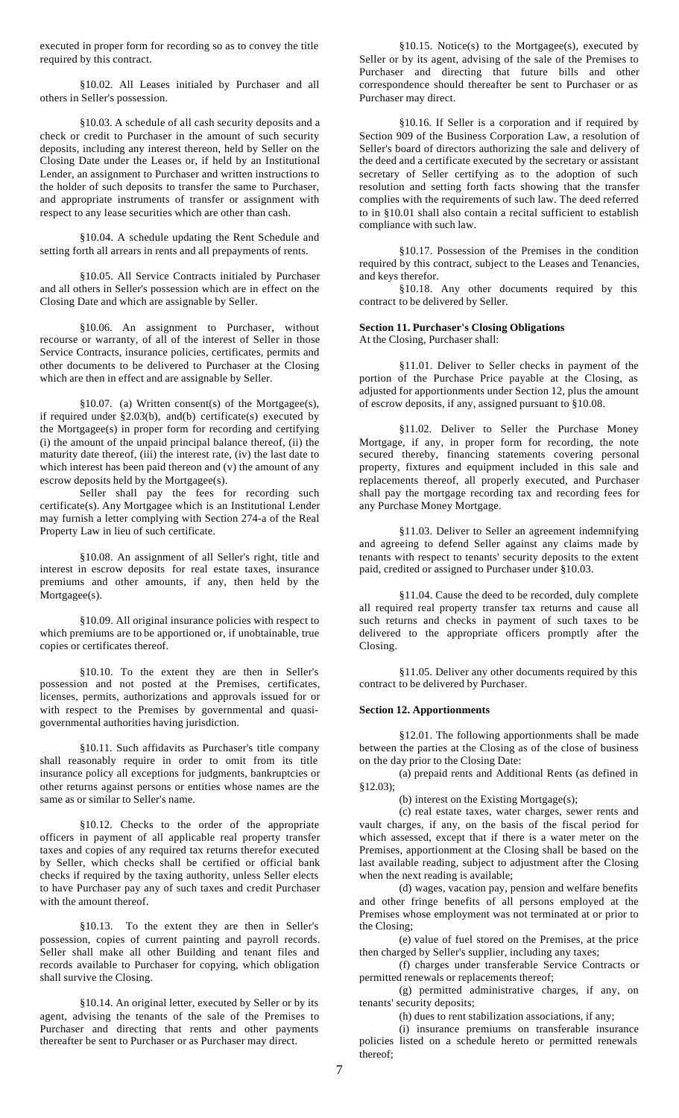executed in proper form for recording so as to convey the title required by this contract.

§10.02. All Leases initialed by Purchaser and all others in Seller's possession.

§10.03. A schedule of all cash security deposits and a check or credit to Purchaser in the amount of such security deposits, including any interest thereon, held by Seller on the Closing Date under the Leases or, if held by an Institutional Lender, an assignment to Purchaser and written instructions to the holder of such deposits to transfer the same to Purchaser, and appropriate instruments of transfer or assignment with respect to any lease securities which are other than cash.

§10.04. A schedule updating the Rent Schedule and setting forth all arrears in rents and all prepayments of rents.

§10.05. All Service Contracts initialed by Purchaser and all others in Seller's possession which are in effect on the Closing Date and which are assignable by Seller.

§10.06. An assignment to Purchaser, without recourse or warranty, of all of the interest of Seller in those Service Contracts, insurance policies, certificates, permits and other documents to be delivered to Purchaser at the Closing which are then in effect and are assignable by Seller.

§10.07. (a) Written consent(s) of the Mortgagee(s), if required under §2.03(b), and(b) certificate(s) executed by the Mortgagee(s) in proper form for recording and certifying (i) the amount of the unpaid principal balance thereof, (ii) the maturity date thereof, (iii) the interest rate, (iv) the last date to which interest has been paid thereon and (v) the amount of any escrow deposits held by the Mortgagee(s).

Seller shall pay the fees for recording such certificate(s). Any Mortgagee which is an Institutional Lender may furnish a letter complying with Section 274-a of the Real Property Law in lieu of such certificate.

§10.08. An assignment of all Seller's right, title and interest in escrow deposits for real estate taxes, insurance premiums and other amounts, if any, then held by the Mortgagee(s).

§10.09. All original insurance policies with respect to which premiums are to be apportioned or, if unobtainable, true copies or certificates thereof.

§10.10. To the extent they are then in Seller's possession and not posted at the Premises, certificates, licenses, permits, authorizations and approvals issued for or with respect to the Premises by governmental and quasigovernmental authorities having jurisdiction.

§10.11. Such affidavits as Purchaser's title company shall reasonably require in order to omit from its title insurance policy all exceptions for judgments, bankruptcies or other returns against persons or entities whose names are the same as or similar to Seller's name.

§10.12. Checks to the order of the appropriate officers in payment of all applicable real property transfer taxes and copies of any required tax returns therefor executed by Seller, which checks shall be certified or official bank checks if required by the taxing authority, unless Seller elects to have Purchaser pay any of such taxes and credit Purchaser with the amount thereof.

§10.13. To the extent they are then in Seller's possession, copies of current painting and payroll records. Seller shall make all other Building and tenant files and records available to Purchaser for copying, which obligation shall survive the Closing.

§10.14. An original letter, executed by Seller or by its agent, advising the tenants of the sale of the Premises to Purchaser and directing that rents and other payments thereafter be sent to Purchaser or as Purchaser may direct.

§10.15. Notice(s) to the Mortgagee(s), executed by Seller or by its agent, advising of the sale of the Premises to Purchaser and directing that future bills and other correspondence should thereafter be sent to Purchaser or as Purchaser may direct.

§10.16. If Seller is a corporation and if required by Section 909 of the Business Corporation Law, a resolution of Seller's board of directors authorizing the sale and delivery of the deed and a certificate executed by the secretary or assistant secretary of Seller certifying as to the adoption of such resolution and setting forth facts showing that the transfer complies with the requirements of such law. The deed referred to in §10.01 shall also contain a recital sufficient to establish compliance with such law.

§10.17. Possession of the Premises in the condition required by this contract, subject to the Leases and Tenancies, and keys therefor.

§10.18. Any other documents required by this contract to be delivered by Seller.

#### **Section 11. Purchaser's Closing Obligations** At the Closing, Purchaser shall:

§11.01. Deliver to Seller checks in payment of the portion of the Purchase Price payable at the Closing, as adjusted for apportionments under Section 12, plus the amount of escrow deposits, if any, assigned pursuant to §10.08.

§11.02. Deliver to Seller the Purchase Money Mortgage, if any, in proper form for recording, the note secured thereby, financing statements covering personal property, fixtures and equipment included in this sale and replacements thereof, all properly executed, and Purchaser shall pay the mortgage recording tax and recording fees for any Purchase Money Mortgage.

§11.03. Deliver to Seller an agreement indemnifying and agreeing to defend Seller against any claims made by tenants with respect to tenants' security deposits to the extent paid, credited or assigned to Purchaser under §10.03.

§11.04. Cause the deed to be recorded, duly complete all required real property transfer tax returns and cause all such returns and checks in payment of such taxes to be delivered to the appropriate officers promptly after the Closing.

§11.05. Deliver any other documents required by this contract to be delivered by Purchaser.

#### **Section 12. Apportionments**

§12.01. The following apportionments shall be made between the parties at the Closing as of the close of business on the day prior to the Closing Date:

(a) prepaid rents and Additional Rents (as defined in §12.03);

(b) interest on the Existing Mortgage(s);

(c) real estate taxes, water charges, sewer rents and vault charges, if any, on the basis of the fiscal period for which assessed, except that if there is a water meter on the Premises, apportionment at the Closing shall be based on the last available reading, subject to adjustment after the Closing when the next reading is available;

(d) wages, vacation pay, pension and welfare benefits and other fringe benefits of all persons employed at the Premises whose employment was not terminated at or prior to the Closing;

(e) value of fuel stored on the Premises, at the price then charged by Seller's supplier, including any taxes;

(f) charges under transferable Service Contracts or permitted renewals or replacements thereof;

(g) permitted administrative charges, if any, on tenants' security deposits;

(h) dues to rent stabilization associations, if any;

(i) insurance premiums on transferable insurance policies listed on a schedule hereto or permitted renewals thereof;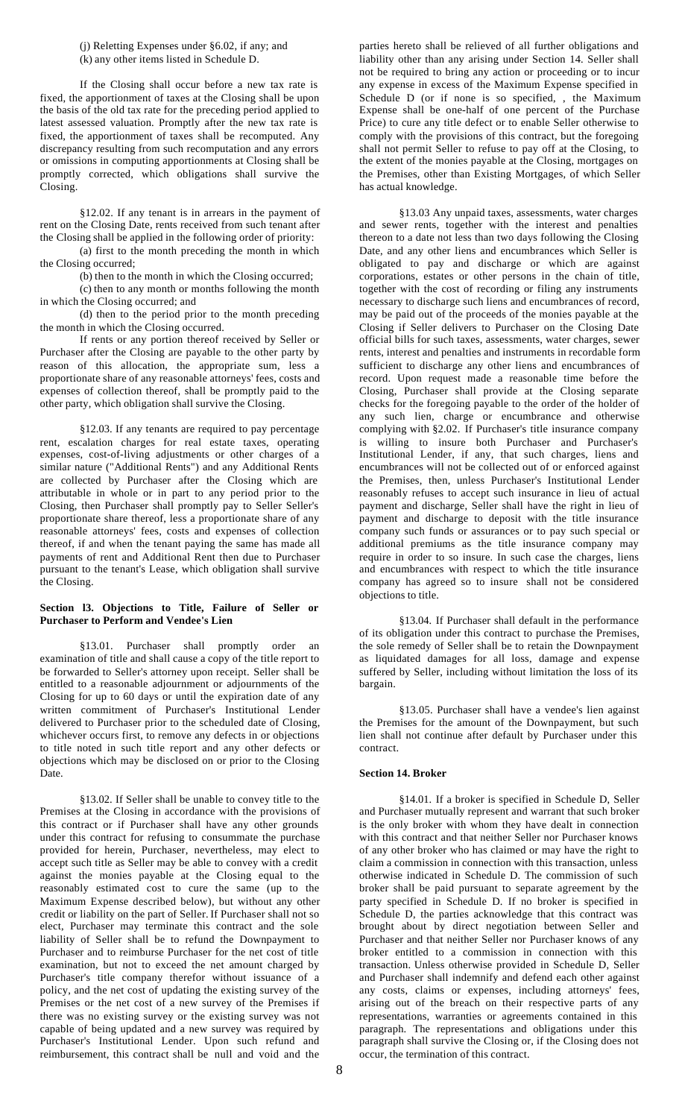(j) Reletting Expenses under §6.02, if any; and (k) any other items listed in Schedule D.

If the Closing shall occur before a new tax rate is fixed, the apportionment of taxes at the Closing shall be upon the basis of the old tax rate for the preceding period applied to latest assessed valuation. Promptly after the new tax rate is fixed, the apportionment of taxes shall be recomputed. Any discrepancy resulting from such recomputation and any errors or omissions in computing apportionments at Closing shall be promptly corrected, which obligations shall survive the Closing.

§12.02. If any tenant is in arrears in the payment of rent on the Closing Date, rents received from such tenant after the Closing shall be applied in the following order of priority:

(a) first to the month preceding the month in which the Closing occurred;

(b) then to the month in which the Closing occurred; (c) then to any month or months following the month

in which the Closing occurred; and (d) then to the period prior to the month preceding the month in which the Closing occurred.

If rents or any portion thereof received by Seller or Purchaser after the Closing are payable to the other party by reason of this allocation, the appropriate sum, less a proportionate share of any reasonable attorneys' fees, costs and expenses of collection thereof, shall be promptly paid to the other party, which obligation shall survive the Closing.

§12.03. If any tenants are required to pay percentage rent, escalation charges for real estate taxes, operating expenses, cost-of-living adjustments or other charges of a similar nature ("Additional Rents") and any Additional Rents are collected by Purchaser after the Closing which are attributable in whole or in part to any period prior to the Closing, then Purchaser shall promptly pay to Seller Seller's proportionate share thereof, less a proportionate share of any reasonable attorneys' fees, costs and expenses of collection thereof, if and when the tenant paying the same has made all payments of rent and Additional Rent then due to Purchaser pursuant to the tenant's Lease, which obligation shall survive the Closing.

# **Section l3. Objections to Title, Failure of Seller or Purchaser to Perform and Vendee's Lien**

§13.01. Purchaser shall promptly order an examination of title and shall cause a copy of the title report to be forwarded to Seller's attorney upon receipt. Seller shall be entitled to a reasonable adjournment or adjournments of the Closing for up to 60 days or until the expiration date of any written commitment of Purchaser's Institutional Lender delivered to Purchaser prior to the scheduled date of Closing, whichever occurs first, to remove any defects in or objections to title noted in such title report and any other defects or objections which may be disclosed on or prior to the Closing Date.

§13.02. If Seller shall be unable to convey title to the Premises at the Closing in accordance with the provisions of this contract or if Purchaser shall have any other grounds under this contract for refusing to consummate the purchase provided for herein, Purchaser, nevertheless, may elect to accept such title as Seller may be able to convey with a credit against the monies payable at the Closing equal to the reasonably estimated cost to cure the same (up to the Maximum Expense described below), but without any other credit or liability on the part of Seller. If Purchaser shall not so elect, Purchaser may terminate this contract and the sole liability of Seller shall be to refund the Downpayment to Purchaser and to reimburse Purchaser for the net cost of title examination, but not to exceed the net amount charged by Purchaser's title company therefor without issuance of a policy, and the net cost of updating the existing survey of the Premises or the net cost of a new survey of the Premises if there was no existing survey or the existing survey was not capable of being updated and a new survey was required by Purchaser's Institutional Lender. Upon such refund and reimbursement, this contract shall be null and void and the

parties hereto shall be relieved of all further obligations and liability other than any arising under Section 14. Seller shall not be required to bring any action or proceeding or to incur any expense in excess of the Maximum Expense specified in Schedule D (or if none is so specified, , the Maximum Expense shall be one-half of one percent of the Purchase Price) to cure any title defect or to enable Seller otherwise to comply with the provisions of this contract, but the foregoing shall not permit Seller to refuse to pay off at the Closing, to the extent of the monies payable at the Closing, mortgages on the Premises, other than Existing Mortgages, of which Seller has actual knowledge.

§13.03 Any unpaid taxes, assessments, water charges and sewer rents, together with the interest and penalties thereon to a date not less than two days following the Closing Date, and any other liens and encumbrances which Seller is obligated to pay and discharge or which are against corporations, estates or other persons in the chain of title, together with the cost of recording or filing any instruments necessary to discharge such liens and encumbrances of record, may be paid out of the proceeds of the monies payable at the Closing if Seller delivers to Purchaser on the Closing Date official bills for such taxes, assessments, water charges, sewer rents, interest and penalties and instruments in recordable form sufficient to discharge any other liens and encumbrances of record. Upon request made a reasonable time before the Closing, Purchaser shall provide at the Closing separate checks for the foregoing payable to the order of the holder of any such lien, charge or encumbrance and otherwise complying with §2.02. If Purchaser's title insurance company is willing to insure both Purchaser and Purchaser's Institutional Lender, if any, that such charges, liens and encumbrances will not be collected out of or enforced against the Premises, then, unless Purchaser's Institutional Lender reasonably refuses to accept such insurance in lieu of actual payment and discharge, Seller shall have the right in lieu of payment and discharge to deposit with the title insurance company such funds or assurances or to pay such special or additional premiums as the title insurance company may require in order to so insure. In such case the charges, liens and encumbrances with respect to which the title insurance company has agreed so to insure shall not be considered objections to title.

§13.04. If Purchaser shall default in the performance of its obligation under this contract to purchase the Premises, the sole remedy of Seller shall be to retain the Downpayment as liquidated damages for all loss, damage and expense suffered by Seller, including without limitation the loss of its bargain.

§13.05. Purchaser shall have a vendee's lien against the Premises for the amount of the Downpayment, but such lien shall not continue after default by Purchaser under this contract.

# **Section 14. Broker**

§14.01. If a broker is specified in Schedule D, Seller and Purchaser mutually represent and warrant that such broker is the only broker with whom they have dealt in connection with this contract and that neither Seller nor Purchaser knows of any other broker who has claimed or may have the right to claim a commission in connection with this transaction, unless otherwise indicated in Schedule D. The commission of such broker shall be paid pursuant to separate agreement by the party specified in Schedule D. If no broker is specified in Schedule D, the parties acknowledge that this contract was brought about by direct negotiation between Seller and Purchaser and that neither Seller nor Purchaser knows of any broker entitled to a commission in connection with this transaction. Unless otherwise provided in Schedule D, Seller and Purchaser shall indemnify and defend each other against any costs, claims or expenses, including attorneys' fees, arising out of the breach on their respective parts of any representations, warranties or agreements contained in this paragraph. The representations and obligations under this paragraph shall survive the Closing or, if the Closing does not occur, the termination of this contract.